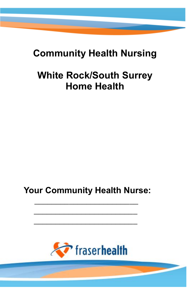## **Community Health Nursing**

# **White Rock/South Surrey Home Health**

### **Your Community Health Nurse:**

 **\_\_\_\_\_\_\_\_\_\_\_\_\_\_\_\_\_\_\_\_\_\_\_\_**

 **\_\_\_\_\_\_\_\_\_\_\_\_\_\_\_\_\_\_\_\_\_\_\_\_** 

 **\_\_\_\_\_\_\_\_\_\_\_\_\_\_\_\_\_\_\_\_\_\_\_\_**

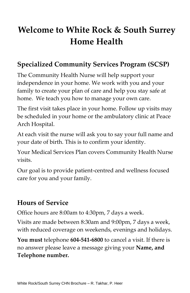## **Welcome to White Rock & South Surrey Home Health**

#### **Specialized Community Services Program (SCSP)**

The Community Health Nurse will help support your independence in your home. We work with you and your family to create your plan of care and help you stay safe at home. We teach you how to manage your own care.

The first visit takes place in your home. Follow up visits may be scheduled in your home or the ambulatory clinic at Peace Arch Hospital.

At each visit the nurse will ask you to say your full name and your date of birth. This is to confirm your identity.

Your Medical Services Plan covers Community Health Nurse visits.

Our goal is to provide patient-centred and wellness focused care for you and your family.

#### **Hours of Service**

Office hours are 8:00am to 4:30pm, 7 days a week.

Visits are made between 8:30am and 9:00pm, 7 days a week, with reduced coverage on weekends, evenings and holidays.

**You must** telephone **604-541-6800** to cancel a visit. If there is no answer please leave a message giving your **Name, and Telephone number.**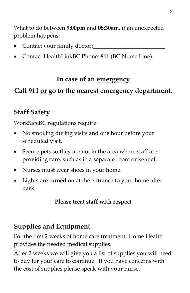What to do between **9:00pm** and **08:30am**, if an unexpected problem happens:

- Contact your family doctor:
- Contact HealthLinkBC Phone: **811** (BC Nurse Line).

#### **In case of an emergency**

#### **Call 911 or go to the nearest emergency department.**

#### **Staff Safety**

WorkSafeBC regulations require:

- No smoking during visits and one hour before your scheduled visit.
- Secure pets so they are not in the area where staff are providing care, such as in a separate room or kennel.
- Nurses must wear shoes in your home.
- Lights are turned on at the entrance to your home after dark.

#### **Please treat staff with respect**

### **Supplies and Equipment**

For the first 2 weeks of home care treatment, Home Health provides the needed medical supplies.

After 2 weeks we will give you a list of supplies you will need to buy for your care to continue. If you have concerns with the cost of supplies please speak with your nurse.